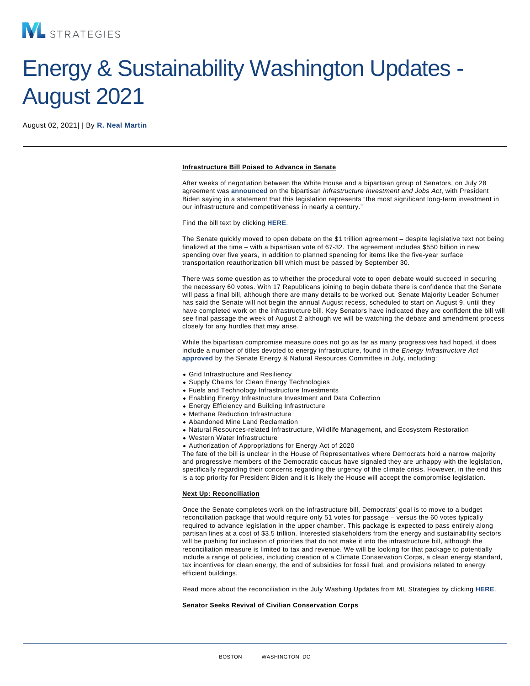# Energy & Sustainability Washington Updates - August 2021

August 02, 2021| | By [R. Neal Martin](/our-people/r-neal-martin)

## Infrastructure Bill Poised to Advance in Senate

After weeks of negotiation between the White House and a bipartisan group of Senators, on July 28 agreement was [announced o](https://www.whitehouse.gov/briefing-room/statements-releases/2021/07/28/statement-by-president-joe-biden-on-the-bipartisan-infrastructure-deal/)n the bipartisan Infrastructure Investment and Jobs Act, with President Biden saying in a statement that this legislation represents "the most significant long-term investment in our infrastructure and competitiveness in nearly a century."

Find the bill text by clicking [HERE.](https://www.epw.senate.gov/public/_cache/files/e/a/ea1eb2e4-56bd-45f1-a260-9d6ee951bc96/F8A7C77D69BE09151F210EB4DFE872CD.edw21a09.pdf)

The Senate quickly moved to open debate on the \$1 trillion agreement – despite legislative text not being finalized at the time – with a bipartisan vote of 67-32. The agreement includes \$550 billion in new spending over five years, in addition to planned spending for items like the five-year surface transportation reauthorization bill which must be passed by September 30.

There was some question as to whether the procedural vote to open debate would succeed in securing the necessary 60 votes. With 17 Republicans joining to begin debate there is confidence that the Senate will pass a final bill, although there are many details to be worked out. Senate Majority Leader Schumer has said the Senate will not begin the annual August recess, scheduled to start on August 9, until they have completed work on the infrastructure bill. Key Senators have indicated they are confident the bill will see final passage the week of August 2 although we will be watching the debate and amendment process closely for any hurdles that may arise.

While the bipartisan compromise measure does not go as far as many progressives had hoped, it does include a number of titles devoted to energy infrastructure, found in the Energy Infrastructure Act [approved b](https://www.energy.senate.gov/2021/7/energy-committee-advances-manchin-s-bipartisan-energy-infrastructure-act)y the Senate Energy & Natural Resources Committee in July, including:

- Grid Infrastructure and Resiliency
- Supply Chains for Clean Energy Technologies
- Fuels and Technology Infrastructure Investments
- Enabling Energy Infrastructure Investment and Data Collection
- Energy Efficiency and Building Infrastructure
- Methane Reduction Infrastructure
- Abandoned Mine Land Reclamation
- Natural Resources-related Infrastructure, Wildlife Management, and Ecosystem Restoration
- Western Water Infrastructure
- Authorization of Appropriations for Energy Act of 2020

The fate of the bill is unclear in the House of Representatives where Democrats hold a narrow majority and progressive members of the Democratic caucus have signaled they are unhappy with the legislation, specifically regarding their concerns regarding the urgency of the climate crisis. However, in the end this is a top priority for President Biden and it is likely the House will accept the compromise legislation.

#### Next Up: Reconciliation

Once the Senate completes work on the infrastructure bill, Democrats' goal is to move to a budget reconciliation package that would require only 51 votes for passage – versus the 60 votes typically required to advance legislation in the upper chamber. This package is expected to pass entirely along partisan lines at a cost of \$3.5 trillion. Interested stakeholders from the energy and sustainability sectors will be pushing for inclusion of priorities that do not make it into the infrastructure bill, although the reconciliation measure is limited to tax and revenue. We will be looking for that package to potentially include a range of policies, including creation of a Climate Conservation Corps, a clean energy standard, tax incentives for clean energy, the end of subsidies for fossil fuel, and provisions related to energy efficient buildings.

Read more about the reconciliation in the July Washing Updates from ML Strategies by clicking [HERE](https://www.mlstrategies.com/insights-center).

Senator Seeks Revival of Civilian Conservation Corps